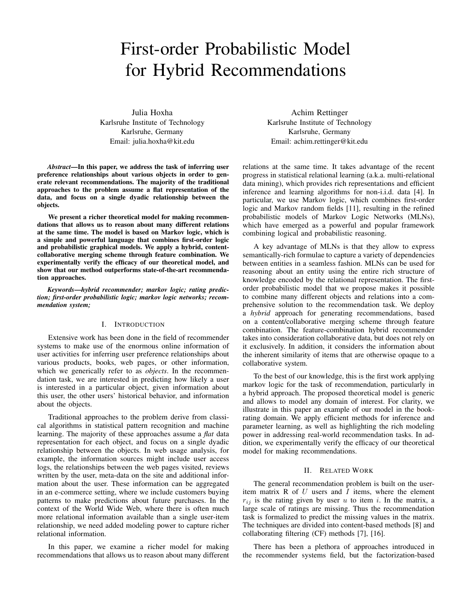# First-order Probabilistic Model for Hybrid Recommendations

Julia Hoxha Karlsruhe Institute of Technology Karlsruhe, Germany Email: julia.hoxha@kit.edu

*Abstract*—In this paper, we address the task of inferring user preference relationships about various objects in order to generate relevant recommendations. The majority of the traditional approaches to the problem assume a flat representation of the data, and focus on a single dyadic relationship between the objects.

We present a richer theoretical model for making recommendations that allows us to reason about many different relations at the same time. The model is based on Markov logic, which is a simple and powerful language that combines first-order logic and probabilistic graphical models. We apply a hybrid, contentcollaborative merging scheme through feature combination. We experimentally verify the efficacy of our theoretical model, and show that our method outperforms state-of-the-art recommendation approaches.

*Keywords*—*hybrid recommender; markov logic; rating prediction; first-order probabilistic logic; markov logic networks; recommendation system;*

## I. INTRODUCTION

Extensive work has been done in the field of recommender systems to make use of the enormous online information of user activities for inferring user preference relationships about various products, books, web pages, or other information, which we generically refer to as *objects*. In the recommendation task, we are interested in predicting how likely a user is interested in a particular object, given information about this user, the other users' historical behavior, and information about the objects.

Traditional approaches to the problem derive from classical algorithms in statistical pattern recognition and machine learning. The majority of these approaches assume a *flat* data representation for each object, and focus on a single dyadic relationship between the objects. In web usage analysis, for example, the information sources might include user access logs, the relationships between the web pages visited, reviews written by the user, meta-data on the site and additional information about the user. These information can be aggregated in an e-commerce setting, where we include customers buying patterns to make predictions about future purchases. In the context of the World Wide Web, where there is often much more relational information available than a single user-item relationship, we need added modeling power to capture richer relational information.

In this paper, we examine a richer model for making recommendations that allows us to reason about many different

Achim Rettinger Karlsruhe Institute of Technology Karlsruhe, Germany Email: achim.rettinger@kit.edu

relations at the same time. It takes advantage of the recent progress in statistical relational learning (a.k.a. multi-relational data mining), which provides rich representations and efficient inference and learning algorithms for non-i.i.d. data [4]. In particular, we use Markov logic, which combines first-order logic and Markov random fields [11], resulting in the refined probabilistic models of Markov Logic Networks (MLNs), which have emerged as a powerful and popular framework combining logical and probabilistic reasoning.

A key advantage of MLNs is that they allow to express semantically-rich formulae to capture a variety of dependencies between entities in a seamless fashion. MLNs can be used for reasoning about an entity using the entire rich structure of knowledge encoded by the relational representation. The firstorder probabilistic model that we propose makes it possible to combine many different objects and relations into a comprehensive solution to the recommendation task. We deploy a *hybrid* approach for generating recommendations, based on a content/collaborative merging scheme through feature combination. The feature-combination hybrid recommender takes into consideration collaborative data, but does not rely on it exclusively. In addition, it considers the information about the inherent similarity of items that are otherwise opaque to a collaborative system.

To the best of our knowledge, this is the first work applying markov logic for the task of recommendation, particularly in a hybrid approach. The proposed theoretical model is generic and allows to model any domain of interest. For clarity, we illustrate in this paper an example of our model in the bookrating domain. We apply efficient methods for inference and parameter learning, as well as highlighting the rich modeling power in addressing real-world recommendation tasks. In addition, we experimentally verify the efficacy of our theoretical model for making recommendations.

#### II. RELATED WORK

The general recommendation problem is built on the useritem matrix R of *U* users and *I* items, where the element  $r_{ij}$  is the rating given by user *u* to item *i*. In the matrix, a large scale of ratings are missing. Thus the recommendation task is formalized to predict the missing values in the matrix. The techniques are divided into content-based methods [8] and collaborating filtering (CF) methods [7], [16].

There has been a plethora of approaches introduced in the recommender systems field, but the factorization-based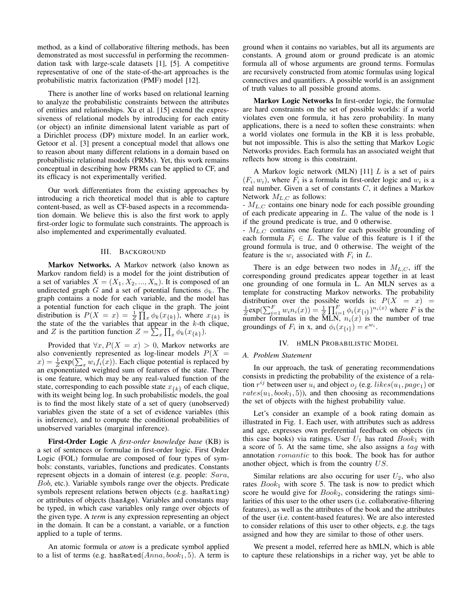method, as a kind of collaborative filtering methods, has been demonstrated as most successful in performing the recommendation task with large-scale datasets [1], [5]. A competitive representative of one of the state-of-the-art approaches is the probabilistic matrix factorization (PMF) model [12].

There is another line of works based on relational learning to analyze the probabilistic constraints between the attributes of entities and relationships. Xu et al. [15] extend the expressiveness of relational models by introducing for each entity (or object) an infinite dimensional latent variable as part of a Dirichlet process (DP) mixture model. In an earlier work, Getoor et al. [3] present a conceptual model that allows one to reason about many different relations in a domain based on probabilistic relational models (PRMs). Yet, this work remains conceptual in describing how PRMs can be applied to CF, and its efficacy is not experimentally verified.

Our work differentiates from the existing approaches by introducing a rich theoretical model that is able to capture content-based, as well as CF-based aspects in a recommendation domain. We believe this is also the first work to apply first-order logic to formulate such constraints. The approach is also implemented and experimentally evaluated.

#### III. BACKGROUND

Markov Networks. A Markov network (also known as Markov random field) is a model for the joint distribution of a set of variables  $X = (X_1, X_2, ..., X_n)$ . It is composed of an undirected graph *G* and a set of potential functions  $\phi_k$ . The graph contains a node for each variable, and the model has a potential function for each clique in the graph. The joint distribution is  $P(X = x) = \frac{1}{Z} \prod_x \phi_k(x_{\{k\}})$ , where  $x_{\{k\}}$  is the state of the the variables that appear in the k-th clique, and *Z* is the partition function  $Z = \sum_{x}^{\infty} \prod_{x} \phi_k(x_{\{k\}})$ .

Provided that  $\forall x, P(X = x) > 0$ , Markov networks are also conveniently represented as log-linear models  $P(X =$  $f(x) = \frac{1}{Z} \exp(\sum_x w_i f_i(x))$ . Each clique potential is replaced by an exponentiated weighted sum of features of the state. There is one feature, which may be any real-valued function of the state, corresponding to each possible state  $x_{\{k\}}$  of each clique, with its weight being log. In such probabilistic models, the goal is to find the most likely state of a set of query (unobserved) variables given the state of a set of evidence variables (this is inference), and to compute the conditional probabilities of unobserved variables (marginal inference).

First-Order Logic A *first-order knowledge base* (KB) is a set of sentences or formulae in first-order logic. First Order Logic (FOL) formulae are composed of four types of symbols: constants, variables, functions and predicates. Constants represent objects in a domain of interest (e.g. people: *Sara*, *Bob*, etc.). Variable symbols range over the objects. Predicate symbols represent relations betwen objects (e.g. hasRating) or attributes of objects (hasAge). Variables and constants may be typed, in which case variables only range over objects of the given type. A *term* is any expression representing an object in the domain. It can be a constant, a variable, or a function applied to a tuple of terms.

An atomic formula or *atom* is a predicate symbol applied to a list of terms (e.g. hasRated $(Anna, book_1, 5)$ ). A term is

ground when it contains no variables, but all its arguments are constants. A ground atom or ground predicate is an atomic formula all of whose arguments are ground terms. Formulas are recursively constructed from atomic formulas using logical connectives and quantifiers. A possible world is an assignment of truth values to all possible ground atoms.

Markov Logic Networks In first-order logic, the formulae are hard constraints on the set of possible worlds: if a world violates even one formula, it has zero probability. In many applications, there is a need to soften these constraints: when a world violates one formula in the KB it is less probable, but not impossible. This is also the setting that Markov Logic Networks provides. Each formula has an associated weight that reflects how strong is this constraint.

A Markov logic network (MLN) [11] *L* is a set of pairs  $(F_i, w_i)$ , where  $F_i$  is a formula in first-order logic and  $w_i$  is a real number. Given a set of constants *C*, it defines a Markov Network  $M_{L,C}$  as follows:

- *ML,C* contains one binary node for each possible grounding of each predicate appearing in *L*. The value of the node is 1 if the ground predicate is true, and 0 otherwise.

- *ML,C* contains one feature for each possible grounding of each formula  $F_i \in L$ . The value of this feature is 1 if the ground formula is true, and 0 otherwise. The weight of the feature is the  $w_i$  associated with  $F_i$  in  $L$ .

There is an edge between two nodes in  $M_{L,C}$ , iff the corresponding ground predicates appear together in at least one grounding of one formula in L. An MLN serves as a template for constructing Markov networks. The probability distribution over the possible worlds is:  $P(X = x) = \frac{1}{Z} \exp(\sum_{i=1}^{F} w_i n_i(x)) = \frac{1}{Z} \prod_{i=1}^{F} \phi_i(x_{\{i\}})^{n_i(x)}$  where F is the number formulas in the MLN,  $n_i(x)$  is the number of true groundings of  $F_i$  in x, and  $\phi_i(x_{\{i\}}) = e^{w_i}$ .

#### IV. HMLN PROBABILISTIC MODEL

## *A. Problem Statement*

In our approach, the task of generating recommendations consists in predicting the probability of the existence of a relation  $r^{ij}$  between user  $u_i$  and object  $o_j$  (e.g. *likes*( $u_1, page_1$ ) or  $rates(u_1, book_1, 5)$ , and then choosing as recommendations the set of objects with the highest probability value.

Let's consider an example of a book rating domain as illustrated in Fig. 1. Each user, with attributes such as address and age, expresses own preferential feedback on objects (in this case books) via ratings. User  $U_1$  has rated  $Book_1$  with a score of 5. At the same time, she also assigns a *tag* with annotation *romantic* to this book. The book has for author another object, which is from the country *US*.

Similar relations are also occuring for user  $U_2$ , who also rates  $Book<sub>1</sub>$  with score 5. The task is now to predict which score he would give for *Book*2, considering the ratings similarities of this user to the other users (i.e. collaborative-filtering features), as well as the attributes of the book and the attributes of the user (i.e. content-based features). We are also interested to consider relations of this user to other objects, e.g. the tags assigned and how they are similar to those of other users.

We present a model, referred here as hMLN, which is able to capture these relationships in a richer way, yet be able to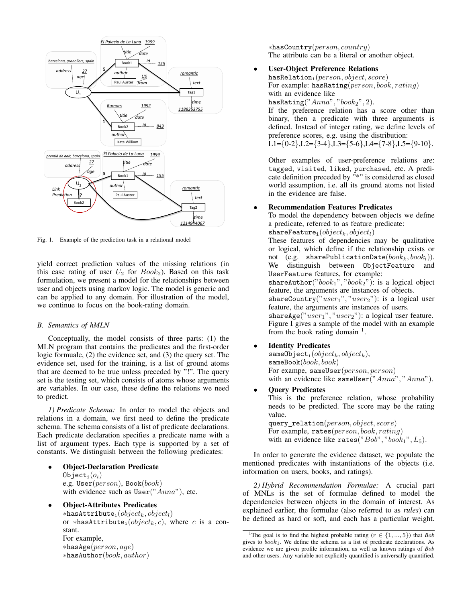

Fig. 1. Example of the prediction task in a relational model

yield correct prediction values of the missing relations (in this case rating of user  $U_2$  for  $Book_2$ ). Based on this task formulation, we present a model for the relationships between user and objects using markov logic. The model is generic and can be applied to any domain. For illustration of the model, we continue to focus on the book-rating domain.

## *B. Semantics of hMLN*

Conceptually, the model consists of three parts: (1) the MLN program that contains the predicates and the first-order logic formuale, (2) the evidence set, and (3) the query set. The evidence set, used for the training, is a list of ground atoms that are deemed to be true unless preceded by "!". The query set is the testing set, which consists of atoms whose arguments are variables. In our case, these define the relations we need to predict.

*1) Predicate Schema:* In order to model the objects and relations in a domain, we first need to define the predicate schema. The schema consists of a list of predicate declarations. Each predicate declaration specifies a predicate name with a list of argument types. Each type is supported by a set of constants. We distinguish between the following predicates:

*•* Object-Declaration Predicate Objecti(*oi*)

e.g. User(*person*), Book(*book*) with evidence such as User("*Anna*"), etc.

- *•* Object-Attributes Predicates
	- $*$ **hasAttribute**<sub>i</sub>(*object*<sub>k</sub>*, object*<sub>l</sub>) or \*hasAttribute<sub>i</sub>(*object*<sub>*k*</sub>, *c*), where *c* is a constant. For example, ⇤hasAge(*person, age*)

⇤hasAuthor(*book, author*)

⇤hasCountry(*person, country*) The attribute can be a literal or another object.

## *•* User-Object Preference Relations

hasRelationi(*person, object, score*) For example: hasRating(*person, book, rating*) with an evidence like hasRating("*Anna*"*,* "*book*2"*,* 2).

If the preference relation has a score other than binary, then a predicate with three arguments is defined. Instead of integer rating, we define levels of preference scores, e.g. using the distribution: L1=*{*0-2*}*,L2=*{*3-4*}*,L3=*{*5-6*}*,L4=*{*7-8*}*,L5=*{*9-10*}*.

Other examples of user-preference relations are: tagged, visited, liked, purchased, etc. A predicate definition preceded by "\*" is considered as closed world assumption, i.e. all its ground atoms not listed in the evidence are false.

## *•* Recommendation Features Predicates

To model the dependency between objects we define a predicate, referred to as feature predicate:  $\texttt{shareFeature}_i(object_k, object_l)$ 

These features of dependencies may be qualitative or logical, which define if the relationship exists or not (e.g. sharePublicationDate(*bookk, bookl*)). We distinguish between ObjectFeature and UserFeature features, for example: shareAuthor("*book*1"*,* "*book*2"): is a logical object

feature, the arguments are instances of objects.

shareCountry("*user*1"*,* "*user*2"): is a logical user feature, the arguments are instances of users.

shareAge("*user*1"*,* "*user*2"): a logical user feature. Figure I gives a sample of the model with an example from the book rating domain  $<sup>1</sup>$ .</sup>

## *•* Identity Predicates

 $\texttt{sameObject}_i(object_k, object_k),$ sameBook(*book, book*) For exampe, sameUser(*person, person*) with an evidence like sameUser("*Anna*"*,* "*Anna*").

## *•* Query Predicates

This is the preference relation, whose probability needs to be predicted. The score may be the rating value. query relation(*person, object, score*) For example, rates(*person, book, rating*) with an evidence like rates("*Bob*"*,* "*book*1"*, L*5)*.*

In order to generate the evidence dataset, we populate the mentioned predicates with instantiations of the objects (i.e. information on users, books, and ratings).

*2) Hybrid Recommendation Formulae:* A crucial part of MNLs is the set of formulae defined to model the dependencies between objects in the domain of interest. As explained earlier, the formulae (also referred to as *rules*) can be defined as hard or soft, and each has a particular weight.

<sup>&</sup>lt;sup>1</sup>The goal is to find the highest probable rating ( $r \in \{1, ..., 5\}$ ) that *Bob* gives to *book*1. We define the schema as a list of predicate declarations. As evidence we are given profile information, as well as known ratings of *Bob* and other users. Any variable not explicitly quantified is universally quantified.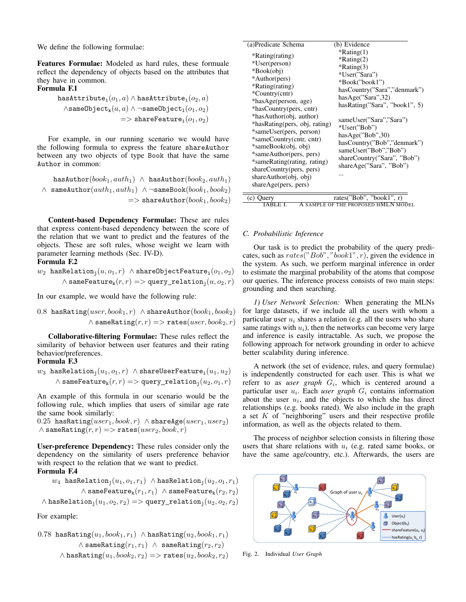We define the following formulae:

Features Formulae: Modeled as hard rules, these formuale reflect the dependency of objects based on the attributes that they have in common.

## Formula F.1

 $\texttt{hasAttribute}_i(o_1, a) \wedge \texttt{hasAttribute}_i(o_2, a)$  $\wedge$ sameObject<sub>k</sub> $(a, a) \wedge \neg$ sameObject<sub>1</sub> $(o_1, o_2)$  $=$  > shareFeature<sub>i</sub> $(o_1, o_2)$ 

For example, in our running scenario we would have the following formula to express the feature shareAuthor between any two objects of type Book that have the same Author in common:

 $hasAuthor(book<sub>1</sub>, author<sub>1</sub>) \wedge hasAuthor(book<sub>2</sub>, author<sub>1</sub>)$  $\wedge$  sameAuthor $(auth_1,auth_1)$   $\wedge \neg$ sameBook $(book_1, book_2)$  $=$  > shareAuthor( $book_1, book_2$ )

Content-based Dependency Formulae: These are rules that express content-based dependency between the score of the relation that we want to predict and the features of the objects. These are soft rules, whose weight we learn with parameter learning methods (Sec. IV-D).

## Formula F.2

 $w_2$  hasRelation<sub>i</sub> $(u, o_1, r)$   $\wedge$  shareObjectFeature<sub>i</sub> $(o_1, o_2)$  $\wedge$  sameFeature<sub>k</sub> $(r, r)$  => query\_relation<sub>i</sub> $(u, o_2, r)$ 

In our example, we would have the following rule:

0.8 hasRating(*user*,*book*<sub>1</sub>,*r*) 
$$
\land
$$
 shareAuthor(*book*<sub>1</sub>,*book*<sub>2</sub>)  
 $\land$  sameRating(*r*,*r*) => rates(*user*,*book*<sub>2</sub>,*r*)

Collaborative-filtering Formulae: These rules reflect the similarity of behavior between user features and their rating behavior/preferences.

## Formula F.3

$$
w_3 \ \texttt{hasRelation}_j(u_1, o_1, r) \ \wedge \texttt{shareUserFeature}_i(u_1, u_2) \\ \wedge \texttt{sameFeature}_k(r, r) => \texttt{query\_relation}_j(u_2, o_1, r)
$$

An example of this formula in our scenario would be the following rule, which implies that users of similar age rate the same book similarly:

0.25 hasRating( $user_1, book, r)$   $\land$  shareAge( $user_1, user_2$ )  $\wedge$  sameRating $(r, r)$  => rates(*user*<sub>2</sub>*, book, r*)

User-preference Dependency: These rules consider only the dependency on the similarity of users preference behavior with respect to the relation that we want to predict. Formula F.4

$$
\begin{aligned} w_4 \text{ hasRelation}_\text{j}(u_1,o_1,r_1) &\wedge \text{hasRelation}_\text{j}(u_2,o_1,r_1) \\ &\wedge \text{sameFeature}_\text{k}(r_1,r_1) &\wedge \text{sameFeature}_\text{k}(r_2,r_2) \\ &\wedge \text{hasRelation}_\text{j}(u_1,o_2,r_2) =&> \text{query\_relation}_\text{j}(u_2,o_2,r_2) \end{aligned}
$$

For example:

0.78 hasRating(
$$
u_1, book_1, r_1
$$
)  $\wedge$  hasRating( $u_2, book_1, r_1$ )  
 $\wedge$  sameRating( $r_1, r_1$ )  $\wedge$  sameRating( $r_2, r_2$ )  
 $\wedge$  hasRating( $u_1, book_2, r_2$ )  $\implies$  rates( $u_2, book_2, r_2$ )

| (a)Predicate Schema<br>*Rating(rating)<br>*User(person)<br>*Book(obj)<br>*Author(pers)<br>*Rating(rating)<br>*Country(cntr)<br>*hasAge(person, age)<br>*hasCountry(pers, cntr)<br>*hasAuthor(obj, author)<br>*hasRating(pers, obj, rating)<br>*sameUser(pers, person)<br>*sameCountry(cntr, cntr)<br>*sameBook(obj, obj)<br>*sameAuthor(pers, pers)<br>*sameRating(rating, rating)<br>shareCountry(pers, pers)<br>shareAuthor(obj, obj) | (b) Evidence<br>$*$ Rating(1)<br>$*Rating(2)$<br>$*Rating(3)$<br>*User("Sara")<br>*Book("book1")<br>hasCountry("Sara","denmark")<br>hasAge("Sara",32)<br>hasRating("Sara", "book1", 5)<br>sameUser("Sara","Sara")<br>$*User("Bob")$<br>hasAge("Bob",30)<br>hasCountry("Bob","denmark")<br>sameUser("Bob","Bob")<br>shareCountry("Sara", "Bob")<br>shareAge("Sara", "Bob") |
|-----------------------------------------------------------------------------------------------------------------------------------------------------------------------------------------------------------------------------------------------------------------------------------------------------------------------------------------------------------------------------------------------------------------------------------------|---------------------------------------------------------------------------------------------------------------------------------------------------------------------------------------------------------------------------------------------------------------------------------------------------------------------------------------------------------------------------|
|-----------------------------------------------------------------------------------------------------------------------------------------------------------------------------------------------------------------------------------------------------------------------------------------------------------------------------------------------------------------------------------------------------------------------------------------|---------------------------------------------------------------------------------------------------------------------------------------------------------------------------------------------------------------------------------------------------------------------------------------------------------------------------------------------------------------------------|

| (c) Query | rates("Bob", "book1", $r$ )         |
|-----------|-------------------------------------|
| TABLE L   | A SAMPLE OF THE PROPOSED HMLN MODEL |

## *C. Probabilistic Inference*

Our task is to predict the probability of the query predicates, such as *rates*("*Bob*"*,* "*book*1"*, r*), given the evidence in the system. As such, we perform marginal inference in order to estimate the marginal probability of the atoms that compose our queries. The inference process consists of two main steps: grounding and then searching.

*1) User Network Selection:* When generating the MLNs for large datasets, if we include all the users with whom a particular user  $u_i$  shares a relation (e.g. all the users who share same ratings with  $u_i$ ), then the networks can become very large and inference is easily intractable. As such, we propose the following approach for network grounding in order to achieve better scalability during inference.

A network (the set of evidence, rules, and query formulae) is independently constructed for each user. This is what we referr to as *user graph Gi*, which is centered around a particular user  $u_i$ . Each *user graph*  $G_i$  contains information about the user  $u_i$ , and the objects to which she has direct relationships (e.g. books rated). We also include in the graph a set *K* of "neighboring" users and their respective profile information, as well as the objects related to them.

The process of neighbor selection consists in filtering those users that share relations with *u<sup>i</sup>* (e.g. rated same books, or have the same age/country, etc.). Afterwards, the users are



Fig. 2. Individual *User Graph*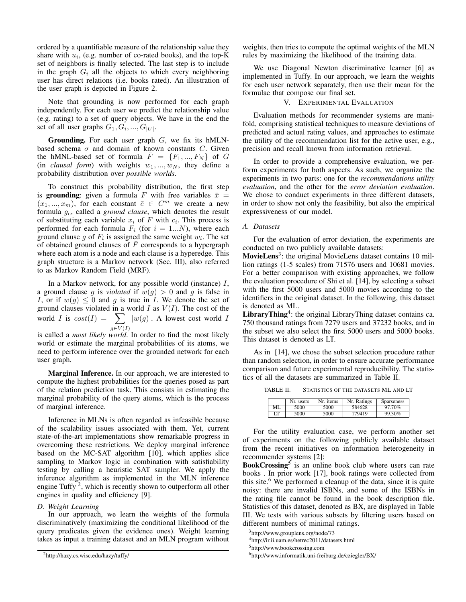ordered by a quantifiable measure of the relationship value they share with  $u_i$ , (e.g. number of co-rated books), and the top-K set of neighbors is finally selected. The last step is to include in the graph  $G_i$  all the objects to which every neighboring user has direct relations (i.e. books rated). An illustration of the user graph is depicted in Figure 2.

Note that grounding is now performed for each graph independently. For each user we predict the relationship value (e.g. rating) to a set of query objects. We have in the end the set of all user graphs  $G_1, G_i, ..., G_{|U|}$ .

Grounding. For each user graph *G*, we fix its hMLNbased schema  $\sigma$  and domain of known constants *C*. Given the hMNL-based set of formula  $\overline{F}$  =  $\{F_1, ..., F_N\}$  of *G* (in *clausal form*) with weights  $w_1, ..., w_N$ , they define a probability distribution over *possible worlds*.

To construct this probability distribution, the first step is **grounding**: given a formula *F* with free variables  $\bar{x}$  =  $(x_1, ..., x_m)$ , for each constant  $\bar{c} \in C^m$  we create a new formula  $g_{\bar{c}}$ , called a *ground clause*, which denotes the result of substituting each variable  $x_i$  of  $F$  with  $c_i$ . This process is performed for each formula  $F_i$  (for  $i = 1...N$ ), where each ground clause  $g$  of  $F_i$  is assigned the same weight  $w_i$ . The set of obtained ground clauses of  $\overline{F}$  corresponds to a hypergraph where each atom is a node and each clause is a hyperedge. This graph structure is a Markov network (Sec. III), also referred to as Markov Random Field (MRF).

In a Markov network, for any possible world (instance) *I*, a ground clause *g* is *violated* if  $w(g) > 0$  and *g* is false in *I*, or if  $w(g) \leq 0$  and *g* is true in *I*. We denote the set of ground clauses violated in a world  $I$  as  $V(I)$ . The cost of the world *I* is  $cost(I) = \sum$  $g \in V(I)$ *|w*(*g*)*|*. A lowest cost world *I*

is called a *most likely world*. In order to find the most likely world or estimate the marginal probabilities of its atoms, we need to perform inference over the grounded network for each user graph.

Marginal Inference. In our approach, we are interested to compute the highest probabilities for the queries posed as part of the relation prediction task. This consists in estimating the marginal probability of the query atoms, which is the process of marginal inference.

Inference in MLNs is often regarded as infeasible because of the scalability issues associated with them. Yet, current state-of-the-art implementations show remarkable progress in overcoming these restrictions. We deploy marginal inference based on the MC-SAT algorithm [10], which applies slice sampling to Markov logic in combination with satisfiability testing by calling a heuristic SAT sampler. We apply the inference algorithm as implemented in the MLN inference engine Tuffy  $2$ , which is recently shown to outperform all other engines in quality and efficiency [9].

## *D. Weight Learning*

In our approach, we learn the weights of the formula discriminatively (maximizing the conditional likelihood of the query predicates given the evidence ones). Weight learning takes as input a training dataset and an MLN program without weights, then tries to compute the optimal weights of the MLN rules by maximizing the likelihood of the training data.

We use Diagonal Newton discriminative learner [6] as implemented in Tuffy. In our approach, we learn the weights for each user network separately, then use their mean for the formulae that compose our final set.

## V. EXPERIMENTAL EVALUATION

Evaluation methods for recommender systems are manifold, comprising statistical techniques to measure deviations of predicted and actual rating values, and approaches to estimate the utility of the recommendation list for the active user, e.g., precision and recall known from information retrieval.

In order to provide a comprehensive evaluation, we perform experiments for both aspects. As such, we organize the experiments in two parts: one for the *recommendations utility evaluation*, and the other for the *error deviation evaluation*. We chose to conduct experiments in three different datasets, in order to show not only the feasibility, but also the empirical expressiveness of our model.

#### *A. Datasets*

For the evaluation of error deviation, the experiments are conducted on two publicly available datasets:

MovieLens<sup>3</sup>: the original MovieLens dataset contains 10 million ratings (1-5 scales) from 71576 users and 10681 movies. For a better comparison with existing approaches, we follow the evaluation procedure of Shi et al. [14], by selecting a subset with the first 5000 users and 5000 movies according to the identifiers in the original dataset. In the following, this dataset is denoted as ML.

LibraryThing<sup>4</sup>: the original LibraryThing dataset contains ca. 750 thousand ratings from 7279 users and 37232 books, and in the subset we also select the first 5000 users and 5000 books. This dataset is denoted as LT.

As in [14], we chose the subset selection procedure rather than random selection, in order to ensure accurate performance comparison and future experimental reproducibility. The statistics of all the datasets are summarized in Table II.

TABLE II. STATISTICS OF THE DATASETS ML AND LT

|     | Nr. users | Nr. items | Nr. Ratings | <b>Sparseness</b> |
|-----|-----------|-----------|-------------|-------------------|
| MI. | 5000      | 5000      | 584628      | 97.70%            |
| LТ  | 5000      | 5000      | 179419      | 99.30%            |

For the utility evaluation case, we perform another set of experiments on the following publicly available dataset from the recent initiatives on information heterogeneity in recommender systems [2]:

**BookCrossing**<sup>5</sup> is an online book club where users can rate books . In prior work [17], book ratings were collected from this site.<sup>6</sup> We performed a cleanup of the data, since it is quite noisy: there are invalid ISBNs, and some of the ISBNs in the rating file cannot be found in the book description file. Statistics of this dataset, denoted as BX, are displayed in Table III. We tests with various subsets by filtering users based on different numbers of minimal ratings.

<sup>2</sup>http://hazy.cs.wisc.edu/hazy/tuffy/

<sup>3</sup>http://www.grouplens.org/node/73

<sup>4</sup>http://ir.ii.uam.es/hetrec2011/datasets.html

<sup>5</sup>http://www.bookcrossing.com

<sup>6</sup>http://www.informatik.uni-freiburg.de/cziegler/BX/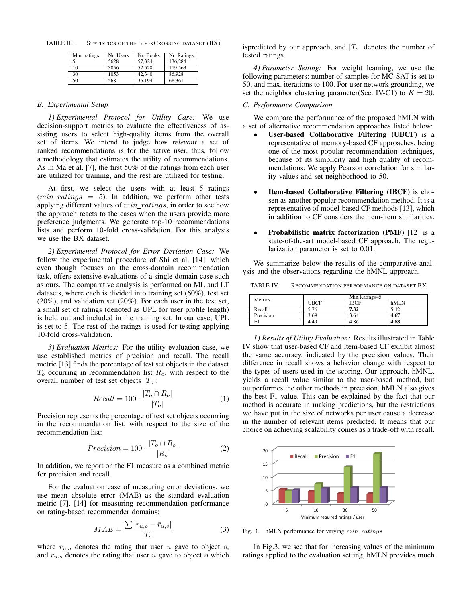TABLE III. STATISTICS OF THE BOOKCROSSING DATASET (BX)

| Min. ratings | Nr. Users | Nr. Books | Nr. Ratings |
|--------------|-----------|-----------|-------------|
|              | 5628      | 57.324    | 136,284     |
| 10           | 3056      | 52.528    | 119.563     |
| 30           | 1053      | 42,340    | 86,928      |
| 50           | 568       | 36.194    | 68.361      |

#### *B. Experimental Setup*

*1) Experimental Protocol for Utility Case:* We use decision-support metrics to evaluate the effectiveness of assisting users to select high-quality items from the overall set of items. We intend to judge how *relevant* a set of ranked recommendations is for the active user, thus, follow a methodology that estimates the utility of recommendations. As in Ma et al. [7], the first 50% of the ratings from each user are utilized for training, and the rest are utilized for testing.

At first, we select the users with at least 5 ratings  $(min\_ratings = 5)$ . In addition, we perform other tests applying different values of *min ratings*, in order to see how the approach reacts to the cases when the users provide more preference judgments. We generate top-10 recommendations lists and perform 10-fold cross-validation. For this analysis we use the BX dataset.

*2) Experimental Protocol for Error Deviation Case:* We follow the experimental procedure of Shi et al. [14], which even though focuses on the cross-domain recommendation task, offers extensive evaluations of a single domain case such as ours. The comparative analysis is performed on ML and LT datasets, where each is divided into training set (60%), test set (20%), and validation set (20%). For each user in the test set, a small set of ratings (denoted as UPL for user profile length) is held out and included in the training set. In our case, UPL is set to 5. The rest of the ratings is used for testing applying 10-fold cross-validation.

*3) Evaluation Metrics:* For the utility evaluation case, we use established metrics of precision and recall. The recall metric [13] finds the percentage of test set objects in the dataset *T<sup>o</sup>* occurring in recommendation list *Ro*, with respect to the overall number of test set objects *|To|*:

$$
Recall = 100 \cdot \frac{|T_o \cap R_o|}{|T_o|} \tag{1}
$$

Precision represents the percentage of test set objects occurring in the recommendation list, with respect to the size of the recommendation list:

$$
Precision = 100 \cdot \frac{|T_o \cap R_o|}{|R_o|} \tag{2}
$$

In addition, we report on the F1 measure as a combined metric for precision and recall.

For the evaluation case of measuring error deviations, we use mean absolute error (MAE) as the standard evaluation metric [7], [14] for measuring recommendation performance on rating-based recommender domains:

$$
MAE = \frac{\sum |r_{u,o} - \bar{r}_{u,o}|}{|T_o|} \tag{3}
$$

where  $r_{u,o}$  denotes the rating that user *u* gave to object *o*, and  $\bar{r}_{u,o}$  denotes the rating that user *u* gave to object *o* which ispredicted by our approach, and *|To|* denotes the number of tested ratings.

*4) Parameter Setting:* For weight learning, we use the following parameters: number of samples for MC-SAT is set to 50, and max. iterations to 100. For user network grounding, we set the neighbor clustering parameter(Sec. IV-C1) to  $K = 20$ .

## *C. Performance Comparison*

We compare the performance of the proposed hMLN with a set of alternative recommendation approaches listed below:

- User-based Collaborative Filtering (UBCF) is a representative of memory-based CF approaches, being one of the most popular recommendation techniques, because of its simplicity and high quality of recommendations. We apply Pearson correlation for similarity values and set neighborhood to 50.
- **Item-based Collaborative Filtering (IBCF)** is chosen as another popular recommendation method. It is a representative of model-based CF methods [13], which in addition to CF considers the item-item similarities.
- **Probabilistic matrix factorization (PMF)** [12] is a state-of-the-art model-based CF approach. The regularization parameter is set to 0.01.

We summarize below the results of the comparative analysis and the observations regarding the hMNL approach.

TABLE IV. RECOMMENDATION PERFORMANCE ON DATASET BX

| Metrics   |      | Min.Ratings=5     |      |  |
|-----------|------|-------------------|------|--|
|           | UBCF | IBCF              | hMLN |  |
| Recall    | 5.76 | $7.\overline{32}$ | 5.12 |  |
| Precision | 3.69 | 3.64              | 4.67 |  |
| F1        | 4.49 | 4.86              | 4.88 |  |

*1) Results of Utility Evaluation:* Results illustrated in Table IV show that user-based CF and item-based CF exhibit almost the same accuracy, indicated by the precision values. Their difference in recall shows a behavior change with respect to the types of users used in the scoring. Our approach, hMNL, yields a recall value similar to the user-based method, but outperformes the other methods in precision. hMLN also gives the best F1 value. This can be explained by the fact that our method is accurate in making predictions, but the restrictions we have put in the size of networks per user cause a decrease in the number of relevant items predicted. It means that our choice on achieving scalability comes as a trade-off with recall.



Fig. 3. hMLN performance for varying *min ratings*

In Fig.3, we see that for increasing values of the minimum ratings applied to the evaluation setting, hMLN provides much